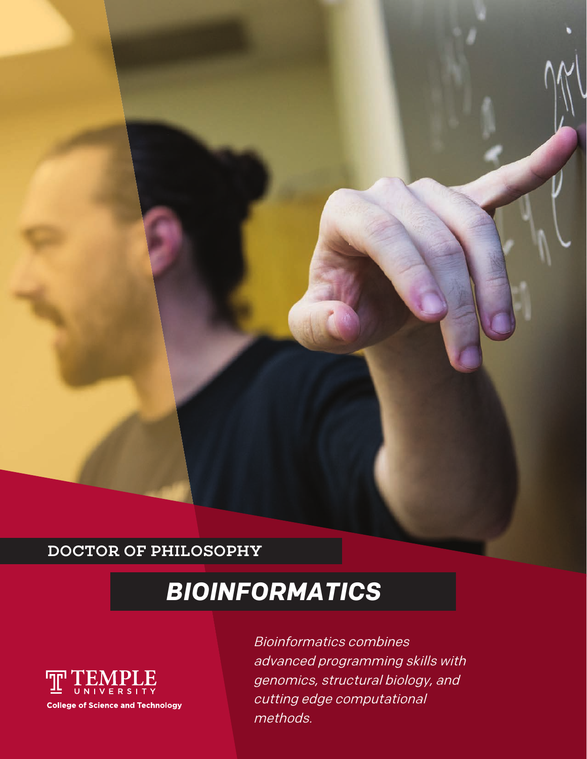## DOCTOR OF PHILOSOPHY

# *BIOINFORMATICS*



Bioinformatics combines advanced programming skills with genomics, structural biology, and cutting edge computational methods.